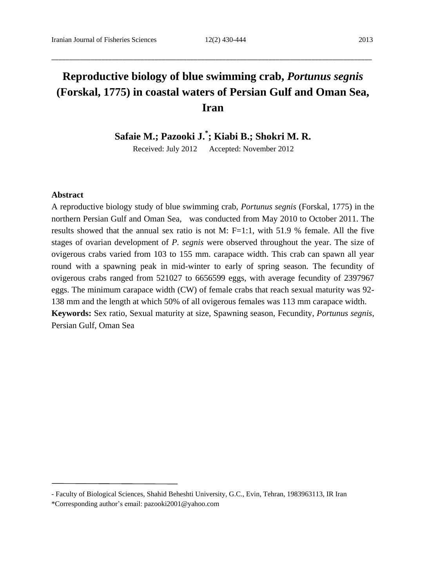# **Reproductive biology of blue swimming crab,** *Portunus segnis* **(Forskal, 1775) in coastal waters of Persian Gulf and Oman Sea, Iran**

\_\_\_\_\_\_\_\_\_\_\_\_\_\_\_\_\_\_\_\_\_\_\_\_\_\_\_\_\_\_\_\_\_\_\_\_\_\_\_\_\_\_\_\_\_\_\_\_\_\_\_\_\_\_\_\_\_\_\_\_\_\_\_\_\_\_\_\_\_\_\_\_\_\_\_\_\_\_\_\_\_\_\_\_\_\_\_\_\_\_

**Safaie M.; Pazooki J. \* ; Kiabi B.; Shokri M. R.**

Received: July 2012 Accepted: November 2012

#### **Abstract**

A reproductive biology study of blue swimming crab, *Portunus segnis* (Forskal, 1775) in the northern Persian Gulf and Oman Sea, was conducted from May 2010 to October 2011. The results showed that the annual sex ratio is not M: F=1:1, with 51.9 % female. All the five stages of ovarian development of *P. segnis* were observed throughout the year. The size of ovigerous crabs varied from 103 to 155 mm. carapace width. This crab can spawn all year round with a spawning peak in mid-winter to early of spring season. The fecundity of ovigerous crabs ranged from 521027 to 6656599 eggs, with average fecundity of 2397967 eggs. The minimum carapace width (CW) of female crabs that reach sexual maturity was 92- 138 mm and the length at which 50% of all ovigerous females was 113 mm carapace width. **Keywords:** Sex ratio, Sexual maturity at size, Spawning season, Fecundity, *Portunus segnis*, Persian Gulf, Oman Sea

<sup>-</sup> Faculty of Biological Sciences, Shahid Beheshti University, G.C., Evin, Tehran, 1983963113, IR Iran

<sup>\*</sup>Corresponding author's email: [pazooki2001@yahoo.com](mailto:pazooki2001@yahoo.com)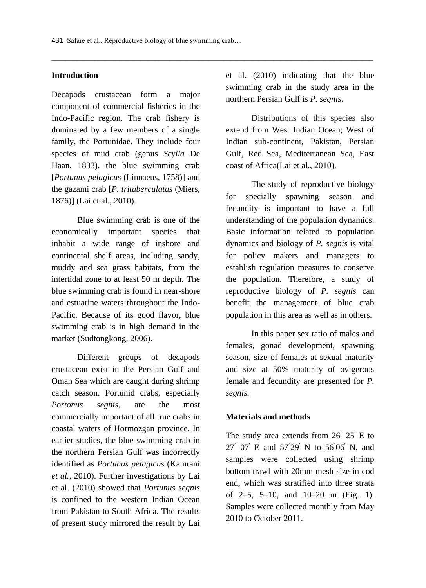# **Introduction**

Decapods crustacean form a major component of commercial fisheries in the Indo-Pacific region. The crab fishery is dominated by a few members of a single family, the Portunidae. They include four species of mud crab (genus *Scylla* De Haan, 1833), the blue swimming crab [*Portunus pelagicus* (Linnaeus, 1758)] and the gazami crab [*P. trituberculatus* (Miers, 1876)] (Lai et al., 2010).

Blue swimming crab is one of the economically important species that inhabit a wide range of inshore and continental shelf areas, including sandy, muddy and sea grass habitats, from the intertidal zone to at least 50 m depth. The blue swimming crab is found in near-shore and estuarine waters throughout the Indo-Pacific. Because of its good flavor, blue swimming crab is in high demand in the market (Sudtongkong, 2006).

Different groups of decapods crustacean exist in the Persian Gulf and Oman Sea which are caught during shrimp catch season. Portunid crabs, especially *Portonus segnis*, are the most commercially important of all true crabs in coastal waters of Hormozgan province. In earlier studies, the blue swimming crab in the northern Persian Gulf was incorrectly identified as *Portunus pelagicus* (Kamrani *et al.*, 2010). Further investigations by Lai et al. (2010) showed that *Portunus segnis* is confined to the western Indian Ocean from Pakistan to South Africa. The results of present study mirrored the result by Lai

et al. (2010) indicating that the blue swimming crab in the study area in the northern Persian Gulf is *P. segnis*.

Distributions of this species also extend from West Indian Ocean; West of Indian sub-continent, Pakistan, Persian Gulf, Red Sea, Mediterranean Sea, East coast of Africa(Lai et al., 2010).

The study of reproductive biology for specially spawning season and fecundity is important to have a full understanding of the population dynamics. Basic information related to population dynamics and biology of *P. segnis* is vital for policy makers and managers to establish regulation measures to conserve the population. Therefore, a study of reproductive biology of *P. segnis* can benefit the management of blue crab population in this area as well as in others.

In this paper sex ratio of males and females, gonad development, spawning season, size of females at sexual maturity and size at 50% maturity of ovigerous female and fecundity are presented for *P. segnis.*

## **Materials and methods**

The study area extends from  $26° 25'$  E to 27° 07′ E and 57°29′ N to 56°06′ N, and samples were collected using shrimp bottom trawl with 20mm mesh size in cod end, which was stratified into three strata of 2–5, 5–10, and 10–20 m (Fig. 1). Samples were collected monthly from May 2010 to October 2011.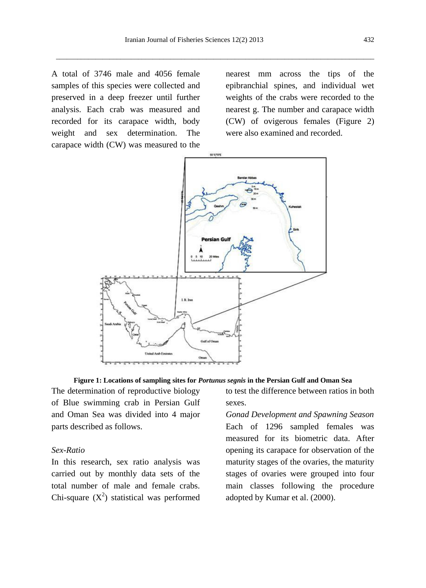A total of 3746 male and 4056 female samples of this species were collected and preserved in a deep freezer until further analysis. Each crab was measured and recorded for its carapace width, body weight and sex determination. The carapace width (CW) was measured to the

nearest mm across the tips of the epibranchial spines, and individual wet weights of the crabs were recorded to the nearest g. The number and carapace width (CW) of ovigerous females (Figure 2) were also examined and recorded.



**Figure 1: Locations of sampling sites for** *Portunus segnis* **in the Persian Gulf and Oman Sea**

The determination of reproductive biology of Blue swimming crab in Persian Gulf and Oman Sea was divided into 4 major parts described as follows.

## *Sex-Ratio*

In this research, sex ratio analysis was carried out by monthly data sets of the total number of male and female crabs. Chi-square  $(X^2)$  statistical was performed to test the difference between ratios in both sexes.

*Gonad Development and Spawning Season* Each of 1296 sampled females was measured for its biometric data. After opening its carapace for observation of the maturity stages of the ovaries, the maturity stages of ovaries were grouped into four main classes following the procedure adopted by Kumar et al. (2000).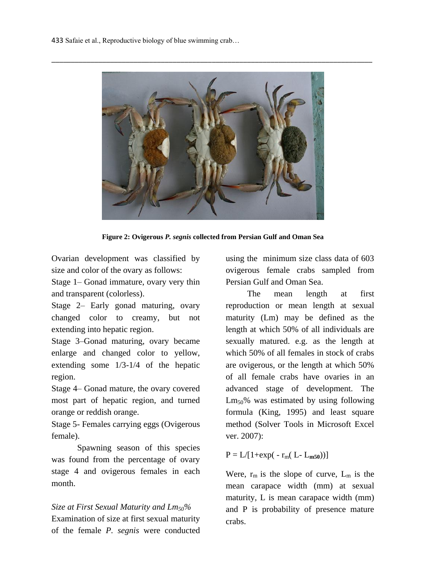433 Safaie et al., Reproductive biology of blue swimming crab…



**Figure 2: Ovigerous** *P. segnis* **collected from Persian Gulf and Oman Sea**

Ovarian development was classified by size and color of the ovary as follows:

Stage 1– Gonad immature, ovary very thin and transparent (colorless).

Stage 2– Early gonad maturing, ovary changed color to creamy, but not extending into hepatic region.

Stage 3–Gonad maturing, ovary became enlarge and changed color to yellow, extending some 1/3-1/4 of the hepatic region.

Stage 4– Gonad mature, the ovary covered most part of hepatic region, and turned orange or reddish orange.

Stage 5- Females carrying eggs (Ovigerous female).

Spawning season of this species was found from the percentage of ovary stage 4 and ovigerous females in each month.

*Size at First Sexual Maturity and Lm50%* Examination of size at first sexual maturity of the female *P. segnis* were conducted

using the minimum size class data of 603 ovigerous female crabs sampled from Persian Gulf and Oman Sea.

 The mean length at first reproduction or mean length at sexual maturity (Lm) may be defined as the length at which 50% of all individuals are sexually matured. e.g. as the length at which 50% of all females in stock of crabs are ovigerous, or the length at which 50% of all female crabs have ovaries in an advanced stage of development. The  $Lm<sub>50</sub>$ % was estimated by using following formula (King, 1995) and least square method (Solver Tools in Microsoft Excel ver. 2007):

 $P = L/[1 + exp(-r_m(L-L_{m50}))]$ 

Were,  $r_m$  is the slope of curve,  $L_m$  is the mean carapace width (mm) at sexual maturity, L is mean carapace width (mm) and P is probability of presence mature crabs.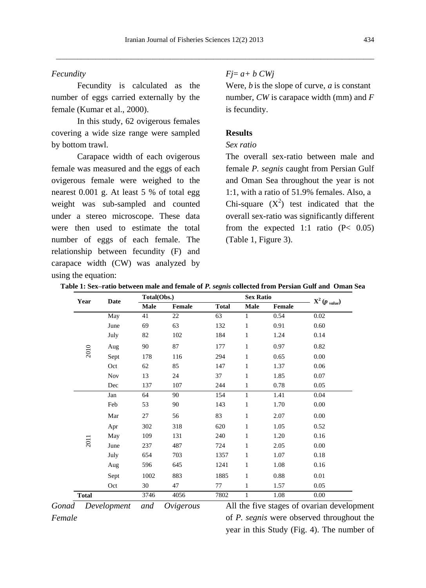# *Fecundity*

Fecundity is calculated as the number of eggs carried externally by the female (Kumar et al., 2000).

In this study, 62 ovigerous females covering a wide size range were sampled by bottom trawl.

Carapace width of each ovigerous female was measured and the eggs of each ovigerous female were weighed to the nearest 0.001 g. At least 5 % of total egg weight was sub-sampled and counted under a stereo microscope. These data were then used to estimate the total number of eggs of each female. The relationship between fecundity (F) and carapace width (CW) was analyzed by using the equation:

## *Fj*= *a+ b CWj*

Were, *b* is the slope of curve, *a* is constant number, *CW* is carapace width (mm) and *F* is fecundity.

#### **Results**

## *Sex ratio*

The overall sex-ratio between male and female *P. segnis* caught from Persian Gulf and Oman Sea throughout the year is not 1:1, with a ratio of 51.9% females. Also, a Chi-square  $(X^2)$  test indicated that the overall sex-ratio was significantly different from the expected 1:1 ratio  $(P< 0.05)$ (Table 1, Figure 3).

| Year         | Date       | Total(Obs.) |               |              | <b>Sex Ratio</b> |        |                  |
|--------------|------------|-------------|---------------|--------------|------------------|--------|------------------|
|              |            | <b>Male</b> | <b>Female</b> | <b>Total</b> | <b>Male</b>      | Female | $X^2(p_{value})$ |
| 2010         | May        | 41          | 22            | 63           | 1                | 0.54   | 0.02             |
|              | June       | 69          | 63            | 132          | 1                | 0.91   | 0.60             |
|              | July       | 82          | 102           | 184          | 1                | 1.24   | 0.14             |
|              | Aug        | 90          | 87            | 177          | $\mathbf{1}$     | 0.97   | 0.82             |
|              | Sept       | 178         | 116           | 294          | 1                | 0.65   | 0.00             |
|              | Oct        | 62          | 85            | 147          | $\mathbf{1}$     | 1.37   | 0.06             |
|              | <b>Nov</b> | 13          | 24            | 37           | 1                | 1.85   | 0.07             |
|              | Dec        | 137         | 107           | 244          | $\mathbf{1}$     | 0.78   | 0.05             |
| 2011         | Jan        | 64          | 90            | 154          | 1                | 1.41   | 0.04             |
|              | Feb        | 53          | 90            | 143          | 1                | 1.70   | 0.00             |
|              | Mar        | 27          | 56            | 83           | $\mathbf{1}$     | 2.07   | $0.00\,$         |
|              | Apr        | 302         | 318           | 620          | 1                | 1.05   | 0.52             |
|              | May        | 109         | 131           | 240          | $\mathbf{1}$     | 1.20   | 0.16             |
|              | June       | 237         | 487           | 724          | 1                | 2.05   | $0.00\,$         |
|              | July       | 654         | 703           | 1357         | 1                | 1.07   | 0.18             |
|              | Aug        | 596         | 645           | 1241         | $\mathbf{1}$     | 1.08   | 0.16             |
|              | Sept       | 1002        | 883           | 1885         | 1                | 0.88   | 0.01             |
|              | Oct        | 30          | 47            | 77           | 1                | 1.57   | 0.05             |
| <b>Total</b> |            | 3746        | 4056          | 7802         | 1                | 1.08   | $0.00\,$         |

| Table 1: Sex–ratio between male and female of <i>P. segnis</i> collected from Persian Gulf and  Oman Sea |  |  |
|----------------------------------------------------------------------------------------------------------|--|--|
|----------------------------------------------------------------------------------------------------------|--|--|

*Gonad Development and Ovigerous Female*

All the five stages of ovarian development of *P. segnis* were observed throughout the year in this Study (Fig. 4). The number of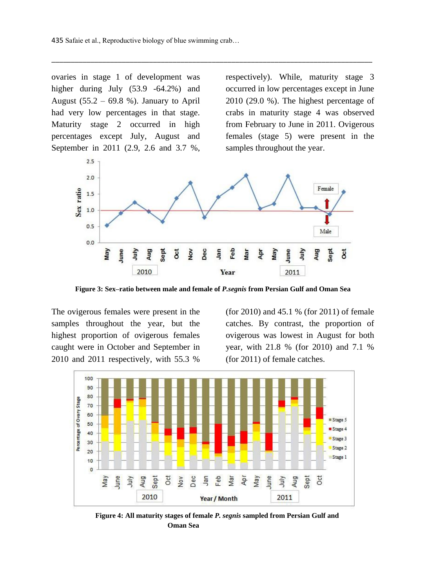ovaries in stage 1 of development was higher during July (53.9 -64.2%) and August (55.2 – 69.8 %). January to April had very low percentages in that stage. Maturity stage 2 occurred in high percentages except July, August and September in 2011 (2.9, 2.6 and 3.7 %,

respectively). While, maturity stage 3 occurred in low percentages except in June 2010 (29.0 %). The highest percentage of crabs in maturity stage 4 was observed from February to June in 2011. Ovigerous females (stage 5) were present in the samples throughout the year.



\_\_\_\_\_\_\_\_\_\_\_\_\_\_\_\_\_\_\_\_\_\_\_\_\_\_\_\_\_\_\_\_\_\_\_\_\_\_\_\_\_\_\_\_\_\_\_\_\_\_\_\_\_\_\_\_\_\_\_\_\_\_\_\_\_\_\_\_\_\_\_\_\_\_\_\_\_\_\_\_\_\_

**Figure 3: Sex–ratio between male and female of** *P.segnis* **from Persian Gulf and Oman Sea**

The ovigerous females were present in the samples throughout the year, but the highest proportion of ovigerous females caught were in October and September in 2010 and 2011 respectively, with 55.3 %

(for 2010) and 45.1 % (for 2011) of female catches. By contrast, the proportion of ovigerous was lowest in August for both year, with 21.8 % (for 2010) and 7.1 % (for 2011) of female catches.



**Figure 4: All maturity stages of female** *P. segnis* **sampled from Persian Gulf and Oman Sea**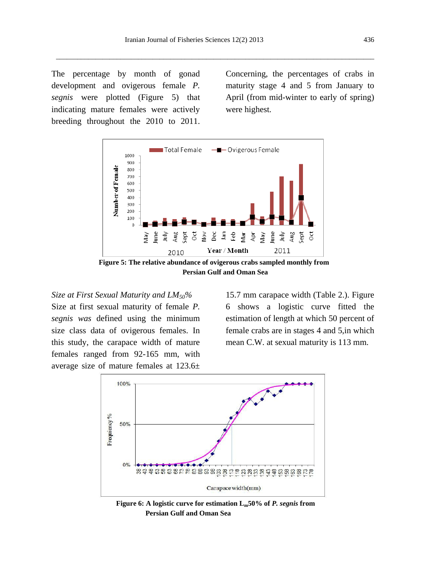The percentage by month of gonad development and ovigerous female *P. segnis* were plotted (Figure 5) that indicating mature females were actively breeding throughout the 2010 to 2011.

Concerning, the percentages of crabs in maturity stage 4 and 5 from January to April (from mid-winter to early of spring) were highest.



**Figure 5: The relative abundance of ovigerous crabs sampled monthly from Persian Gulf and Oman Sea**

*Size at First Sexual Maturity and LM50%*

Size at first sexual maturity of female *P. segnis was* defined using the minimum size class data of ovigerous females. In this study, the carapace width of mature females ranged from 92-165 mm, with average size of mature females at 123.6±

15.7 mm carapace width (Table 2.). Figure 6 shows a logistic curve fitted the estimation of length at which 50 percent of female crabs are in stages 4 and 5,in which mean C.W. at sexual maturity is 113 mm.



**Figure 6: A logistic curve for estimation Lm50% of** *P. segnis* **from Persian Gulf and Oman Sea**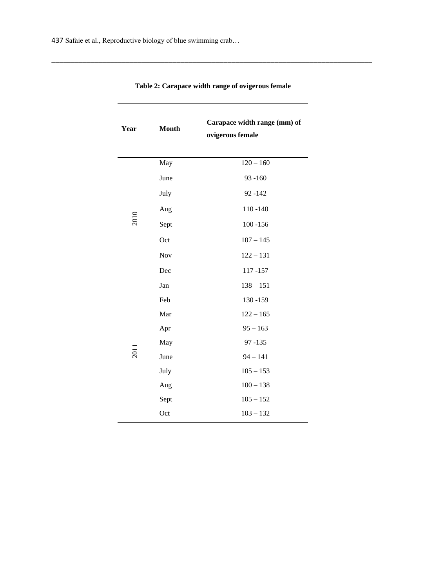| Year        | <b>Month</b> | Carapace width range (mm) of<br>ovigerous female |  |  |
|-------------|--------------|--------------------------------------------------|--|--|
|             | May          | $120 - 160$                                      |  |  |
|             | June         | $93 - 160$                                       |  |  |
|             | July         | $92 - 142$                                       |  |  |
|             | Aug          | $110 - 140$                                      |  |  |
| 2010        | Sept         | $100 - 156$                                      |  |  |
|             | Oct          | $107 - 145$                                      |  |  |
|             | Nov          | $122 - 131$                                      |  |  |
|             | Dec          | 117-157                                          |  |  |
|             | Jan          | $138 - 151$                                      |  |  |
|             | Feb          | 130-159                                          |  |  |
|             | Mar          | $122 - 165$                                      |  |  |
|             | Apr          | $95 - 163$                                       |  |  |
|             | May          | $97 - 135$                                       |  |  |
| <b>2011</b> | June         | $94 - 141$                                       |  |  |
|             | July         | $105 - 153$                                      |  |  |
|             | Aug          | $100 - 138$                                      |  |  |
|             | Sept         | $105 - 152$                                      |  |  |
|             | Oct          | $103 - 132$                                      |  |  |

**Table 2: Carapace width range of ovigerous female**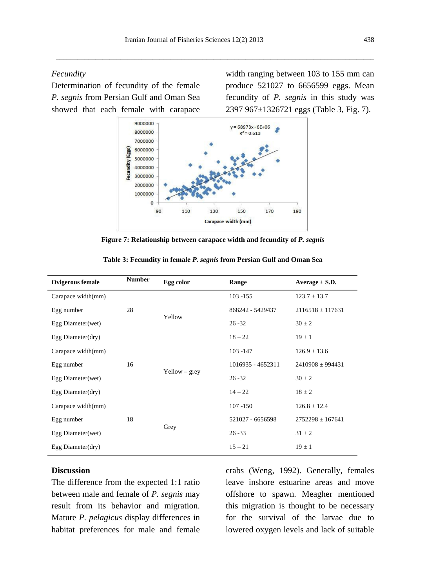## *Fecundity*

Determination of fecundity of the female *P. segnis* from Persian Gulf and Oman Sea showed that each female with carapace

width ranging between 103 to 155 mm can produce 521027 to 6656599 eggs. Mean fecundity of *P. segnis* in this study was 2397 967±1326721 eggs (Table 3, Fig. 7).



**Figure 7: Relationship between carapace width and fecundity of** *P. segnis*

| <b>Ovigerous female</b>               | <b>Number</b> | Egg color       | Range             | Average $\pm$ S.D.   |
|---------------------------------------|---------------|-----------------|-------------------|----------------------|
| Carapace width(mm)                    |               |                 | $103 - 155$       | $123.7 \pm 13.7$     |
| 28<br>Egg number<br>Egg Diameter(wet) |               | Yellow          | 868242 - 5429437  | $2116518 \pm 117631$ |
|                                       |               |                 | $26 - 32$         | $30 \pm 2$           |
| Egg Diameter(dry)                     |               |                 | $18 - 22$         | $19 \pm 1$           |
| Carapace width(mm)                    |               |                 | $103 - 147$       | $126.9 \pm 13.6$     |
| 16<br>Egg number                      |               |                 | 1016935 - 4652311 | $2410908 \pm 994431$ |
| Egg Diameter(wet)                     |               | $Yellow - grey$ | $26 - 32$         | $30 \pm 2$           |
| Egg Diameter(dry)                     |               |                 | $14 - 22$         | $18 \pm 2$           |
| Carapace width(mm)                    |               |                 | $107 - 150$       | $126.8 \pm 12.4$     |
| Egg number                            | 18            | Grey            | 521027 - 6656598  | $2752298 \pm 167641$ |
| Egg Diameter(wet)                     |               |                 | $26 - 33$         | $31 \pm 2$           |
| Egg Diameter $(dry)$                  |               |                 | $15 - 21$         | $19 \pm 1$           |

**Table 3: Fecundity in female** *P. segnis* **from Persian Gulf and Oman Sea** 

#### **Discussion**

The difference from the expected 1:1 ratio between male and female of *P. segnis* may result from its behavior and migration. Mature *P. pelagicus* display differences in habitat preferences for male and female crabs (Weng, 1992). Generally, females leave inshore estuarine areas and move offshore to spawn. Meagher mentioned this migration is thought to be necessary for the survival of the larvae due to lowered oxygen levels and lack of suitable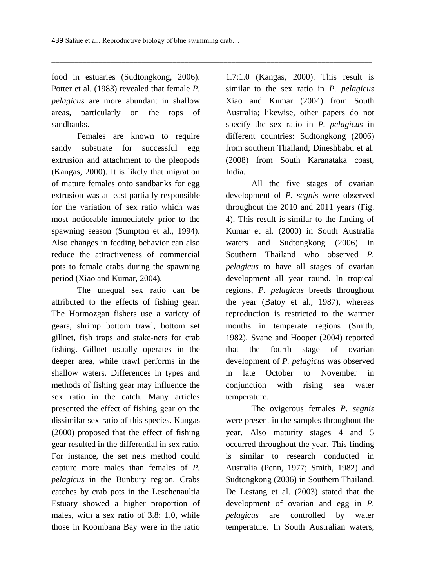food in estuaries (Sudtongkong, 2006). Potter et al. (1983) revealed that female *P. pelagicus* are more abundant in shallow areas, particularly on the tops of sandbanks.

Females are known to require sandy substrate for successful egg extrusion and attachment to the pleopods (Kangas, 2000). It is likely that migration of mature females onto sandbanks for egg extrusion was at least partially responsible for the variation of sex ratio which was most noticeable immediately prior to the spawning season (Sumpton et al., 1994). Also changes in feeding behavior can also reduce the attractiveness of commercial pots to female crabs during the spawning period (Xiao and Kumar, 2004).

The unequal sex ratio can be attributed to the effects of fishing gear. The Hormozgan fishers use a variety of gears, shrimp bottom trawl, bottom set gillnet, fish traps and stake-nets for crab fishing. Gillnet usually operates in the deeper area, while trawl performs in the shallow waters. Differences in types and methods of fishing gear may influence the sex ratio in the catch. Many articles presented the effect of fishing gear on the dissimilar sex-ratio of this species. Kangas (2000) proposed that the effect of fishing gear resulted in the differential in sex ratio. For instance, the set nets method could capture more males than females of *P. pelagicus* in the Bunbury region. Crabs catches by crab pots in the Leschenaultia Estuary showed a higher proportion of males, with a sex ratio of 3.8: 1.0, while those in Koombana Bay were in the ratio 1.7:1.0 (Kangas, 2000). This result is similar to the sex ratio in *P. pelagicus* Xiao and Kumar (2004) from South Australia; likewise, other papers do not specify the sex ratio in *P. pelagicus* in different countries: Sudtongkong (2006) from southern Thailand; Dineshbabu et al. (2008) from South Karanataka coast, India.

All the five stages of ovarian development of *P. segnis* were observed throughout the 2010 and 2011 years (Fig. 4). This result is similar to the finding of Kumar et al*.* (2000) in South Australia waters and Sudtongkong (2006) in Southern Thailand who observed *P. pelagicus* to have all stages of ovarian development all year round. In tropical regions, *P. pelagicus* breeds throughout the year (Batoy et al*.,* 1987), whereas reproduction is restricted to the warmer months in temperate regions (Smith, 1982). Svane and Hooper (2004) reported that the fourth stage of ovarian development of *P. pelagicus* was observed in late October to November in conjunction with rising sea water temperature.

The ovigerous females *P. segnis*  were present in the samples throughout the year. Also maturity stages 4 and 5 occurred throughout the year. This finding is similar to research conducted in Australia (Penn, 1977; Smith, 1982) and Sudtongkong (2006) in Southern Thailand. De Lestang et al. (2003) stated that the development of ovarian and egg in *P. pelagicus* are controlled by water temperature. In South Australian waters,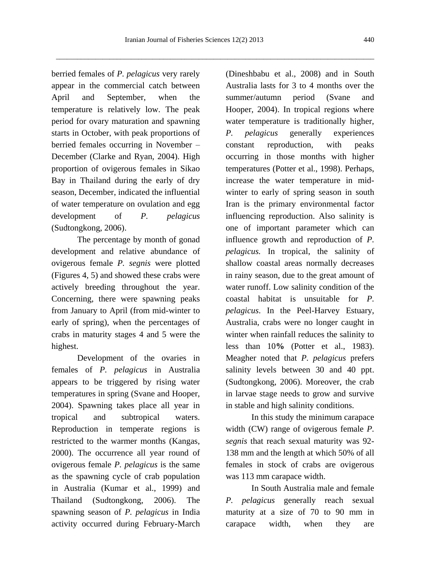berried females of *P. pelagicus* very rarely appear in the commercial catch between April and September, when the temperature is relatively low. The peak period for ovary maturation and spawning starts in October, with peak proportions of berried females occurring in November – December (Clarke and Ryan, 2004). High proportion of ovigerous females in Sikao Bay in Thailand during the early of dry season, December, indicated the influential of water temperature on ovulation and egg development of *P. pelagicus*  (Sudtongkong, 2006).

The percentage by month of gonad development and relative abundance of ovigerous female *P. segnis* were plotted (Figures 4, 5) and showed these crabs were actively breeding throughout the year. Concerning, there were spawning peaks from January to April (from mid-winter to early of spring), when the percentages of crabs in maturity stages 4 and 5 were the highest.

Development of the ovaries in females of *P. pelagicus* in Australia appears to be triggered by rising water temperatures in spring (Svane and Hooper, 2004). Spawning takes place all year in tropical and subtropical waters. Reproduction in temperate regions is restricted to the warmer months (Kangas, 2000). The occurrence all year round of ovigerous female *P. pelagicus* is the same as the spawning cycle of crab population in Australia (Kumar et al., 1999) and Thailand (Sudtongkong, 2006). The spawning season of *P. pelagicus* in India activity occurred during February-March

(Dineshbabu et al., 2008) and in South Australia lasts for 3 to 4 months over the summer/autumn period (Svane and Hooper, 2004). In tropical regions where water temperature is traditionally higher, *P. pelagicus* generally experiences constant reproduction, with peaks occurring in those months with higher temperatures (Potter et al., 1998). Perhaps, increase the water temperature in midwinter to early of spring season in south Iran is the primary environmental factor influencing reproduction. Also salinity is one of important parameter which can influence growth and reproduction of *P. pelagicus.* In tropical, the salinity of shallow coastal areas normally decreases in rainy season, due to the great amount of water runoff. Low salinity condition of the coastal habitat is unsuitable for *P. pelagicus*. In the Peel-Harvey Estuary, Australia, crabs were no longer caught in winter when rainfall reduces the salinity to less than 10**%** (Potter et al., 1983). Meagher noted that *P. pelagicus* prefers salinity levels between 30 and 40 ppt. (Sudtongkong, 2006). Moreover, the crab in larvae stage needs to grow and survive in stable and high salinity conditions.

In this study the minimum carapace width (CW) range of ovigerous female *P. segnis* that reach sexual maturity was 92- 138 mm and the length at which 50% of all females in stock of crabs are ovigerous was 113 mm carapace width.

In South Australia male and female *P. pelagicus* generally reach sexual maturity at a size of 70 to 90 mm in carapace width, when they are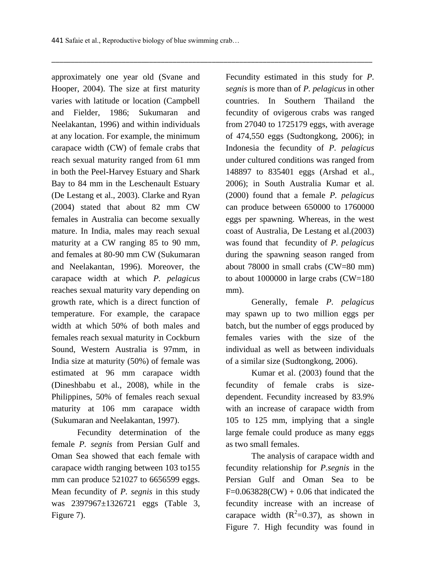approximately one year old (Svane and Hooper, 2004). The size at first maturity varies with latitude or location (Campbell and Fielder, 1986; Sukumaran and Neelakantan, 1996) and within individuals at any location. For example, the minimum carapace width (CW) of female crabs that reach sexual maturity ranged from 61 mm in both the Peel-Harvey Estuary and Shark Bay to 84 mm in the Leschenault Estuary (De Lestang et al., 2003). Clarke and Ryan (2004) stated that about 82 mm CW females in Australia can become sexually mature. In India, males may reach sexual maturity at a CW ranging 85 to 90 mm, and females at 80-90 mm CW (Sukumaran and Neelakantan, 1996). Moreover, the carapace width at which *P. pelagicus* reaches sexual maturity vary depending on growth rate, which is a direct function of temperature. For example, the carapace width at which 50% of both males and females reach sexual maturity in Cockburn Sound, Western Australia is 97mm, in India size at maturity (50%) of female was estimated at 96 mm carapace width (Dineshbabu et al., 2008), while in the Philippines, 50% of females reach sexual maturity at 106 mm carapace width (Sukumaran and Neelakantan, 1997).

Fecundity determination of the female *P. segnis* from Persian Gulf and Oman Sea showed that each female with carapace width ranging between 103 to155 mm can produce 521027 to 6656599 eggs. Mean fecundity of *P. segnis* in this study was 2397967±1326721 eggs (Table 3, Figure 7).

Fecundity estimated in this study for *P. segnis* is more than of *P. pelagicus* in other countries. In Southern Thailand the fecundity of ovigerous crabs was ranged from 27040 to 1725179 eggs, with average of 474,550 eggs (Sudtongkong, 2006); in Indonesia the fecundity of *P. pelagicus* under cultured conditions was ranged from 148897 to 835401 eggs (Arshad et al., 2006); in South Australia Kumar et al. (2000) found that a female *P. pelagicus*  can produce between 650000 to 1760000 eggs per spawning. Whereas, in the west coast of Australia, De Lestang et al.(2003) was found that fecundity of *P. pelagicus* during the spawning season ranged from about 78000 in small crabs (CW=80 mm) to about 1000000 in large crabs (CW=180 mm).

Generally, female *P. pelagicus*  may spawn up to two million eggs per batch, but the number of eggs produced by females varies with the size of the individual as well as between individuals of a similar size (Sudtongkong, 2006).

Kumar et al. (2003) found that the fecundity of female crabs is sizedependent. Fecundity increased by 83.9% with an increase of carapace width from 105 to 125 mm, implying that a single large female could produce as many eggs as two small females.

The analysis of carapace width and fecundity relationship for *P.segnis* in the Persian Gulf and Oman Sea to be  $F=0.063828$ (CW) + 0.06 that indicated the fecundity increase with an increase of carapace width  $(R^2=0.37)$ , as shown in Figure 7. High fecundity was found in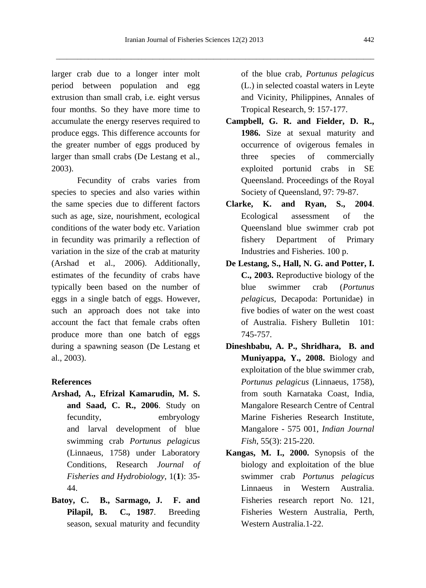larger crab due to a longer inter molt period between population and egg extrusion than small crab, i.e. eight versus four months. So they have more time to accumulate the energy reserves required to produce eggs. This difference accounts for the greater number of eggs produced by larger than small crabs (De Lestang et al., 2003).

Fecundity of crabs varies from species to species and also varies within the same species due to different factors such as age, size, nourishment, ecological conditions of the water body etc. Variation in fecundity was primarily a reflection of variation in the size of the crab at maturity (Arshad et al., 2006). Additionally, estimates of the fecundity of crabs have typically been based on the number of eggs in a single batch of eggs. However, such an approach does not take into account the fact that female crabs often produce more than one batch of eggs during a spawning season (De Lestang et al., 2003).

### **References**

- **Arshad, A., Efrizal Kamarudin, M. S. and Saad, C. R., 2006**. Study on fecundity, embryology and larval development of blue swimming crab *Portunus pelagicus*  (Linnaeus, 1758) under Laboratory Conditions, Research *Journal of Fisheries and Hydrobiology*, 1(**1**): 35- 44.
- **Batoy, C. B., Sarmago, J. F. and Pilapil, B. C., 1987**. Breeding season, sexual maturity and fecundity

of the blue crab, *Portunus pelagicus*  (L.) in selected coastal waters in Leyte and Vicinity, Philippines, Annales of Tropical Research, 9: 157-177.

- **Campbell, G. R. and Fielder, D. R., 1986.** Size at sexual maturity and occurrence of ovigerous females in three species of commercially exploited portunid crabs in SE Queensland. Proceedings of the Royal Society of Queensland, 97: 79-87.
- **Clarke, K. and Ryan, S., 2004**. Ecological assessment of the Queensland blue swimmer crab pot fishery Department of Primary Industries and Fisheries. 100 p.
- **De Lestang, S., Hall, N. G. and Potter, I. C., 2003.** Reproductive biology of the blue swimmer crab (*Portunus pelagicus*, Decapoda: Portunidae) in five bodies of water on the west coast of Australia. Fishery Bulletin 101: 745-757.
- **Dineshbabu, A. P., Shridhara, B. and Muniyappa, Y., 2008.** Biology and exploitation of the blue swimmer crab, *Portunus pelagicus* (Linnaeus, 1758), from south Karnataka Coast, India, Mangalore Research Centre of Central Marine Fisheries Research Institute, Mangalore - 575 001, *Indian Journal Fish*, 55(3): 215-220.
- **Kangas, M. I., 2000.** Synopsis of the biology and exploitation of the blue swimmer crab *Portunus pelagicus* Linnaeus in Western Australia. Fisheries research report No. 121, Fisheries Western Australia, Perth, Western Australia.1-22.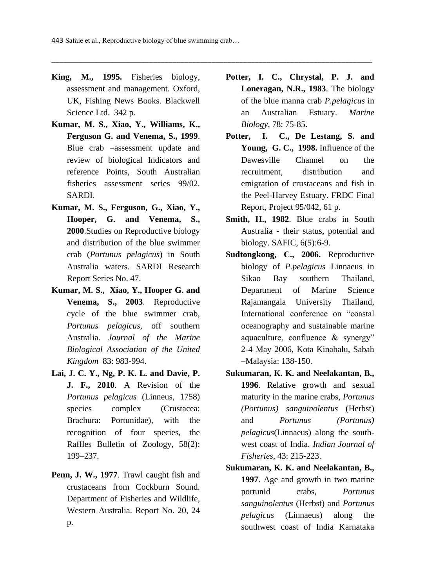- **King, M., 1995.** Fisheries biology, assessment and management. Oxford, UK, Fishing News Books. Blackwell Science Ltd. 342 p.
- **Kumar, M. S., Xiao, Y., Williams, K., Ferguson G. and Venema, S., 1999**. Blue crab –assessment update and review of biological Indicators and reference Points, South Australian fisheries assessment series 99/02. SARDI.
- **Kumar, M. S., Ferguson, G., Xiao, Y., Hooper, G. and Venema, S., 2000**.Studies on Reproductive biology and distribution of the blue swimmer crab (*Portunus pelagicus*) in South Australia waters. SARDI Research Report Series No. 47.
- **Kumar, M. S., Xiao, Y., Hooper G. and Venema, S., 2003**. Reproductive cycle of the blue swimmer crab, *Portunus pelagicus*, off southern Australia. *Journal of the Marine Biological Association of the United Kingdom* 83: 983-994.
- **Lai, J. C. Y., Ng, P. K. L. and Davie, P. J. F., 2010**. A Revision of the *Portunus pelagicus* (Linneus, 1758) species complex (Crustacea: Brachura: Portunidae), with the recognition of four species, the Raffles Bulletin of Zoology, 58(2): 199–237.
- **Penn, J. W., 1977**. Trawl caught fish and crustaceans from Cockburn Sound. Department of Fisheries and Wildlife, Western Australia. Report No. 20, 24 p.
- **Potter, I. C., Chrystal, P. J. and Loneragan, N.R., 1983**. The biology of the blue manna crab *P.pelagicus* in an Australian Estuary. *Marine Biology*, 78: 75-85.
- **Potter, I. C., De Lestang, S. and Young, G. C., 1998.** Influence of the Dawesville Channel on the recruitment, distribution and emigration of crustaceans and fish in the Peel-Harvey Estuary. FRDC Final Report, Project 95/042, 61 p.
- **Smith, H., 1982**. Blue crabs in South Australia - their status, potential and biology. SAFIC, 6(5):6-9.
- **Sudtongkong, C., 2006.** Reproductive biology of *P.pelagicus* Linnaeus in Sikao Bay southern Thailand, Department of Marine Science Rajamangala University Thailand, International conference on "coastal oceanography and sustainable marine aquaculture, confluence & synergy" 2-4 May 2006, Kota Kinabalu, Sabah –Malaysia: 138-150.
- **Sukumaran, K. K. and Neelakantan, B., 1996**. Relative growth and sexual maturity in the marine crabs, *Portunus (Portunus) sanguinolentus* (Herbst) and *Portunus (Portunus) pelagicus*(Linnaeus) along the southwest coast of India. *Indian Journal of Fisheries*, 43: 215-223.
- **Sukumaran, K. K. and Neelakantan, B., 1997**. Age and growth in two marine portunid crabs, *Portunus sanguinolentus* (Herbst) and *Portunus pelagicus* (Linnaeus) along the southwest coast of India Karnataka